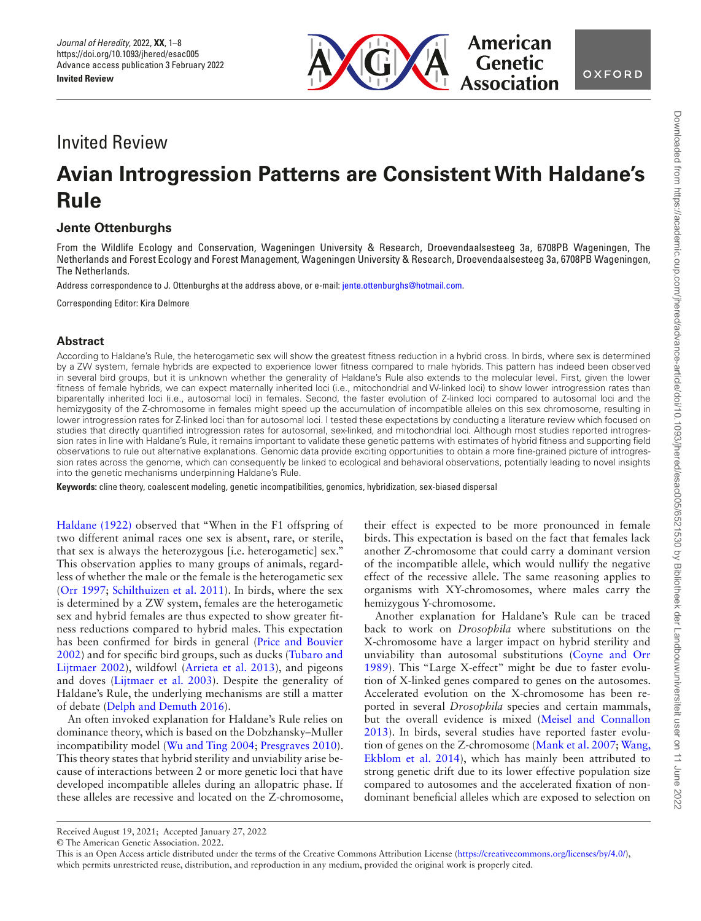

# Invited Review

# **Avian Introgression Patterns are Consistent With Haldane's Rule**

# **Jente Ottenburghs**

From the Wildlife Ecology and Conservation, Wageningen University & Research, Droevendaalsesteeg 3a, 6708PB Wageningen, The Netherlands and Forest Ecology and Forest Management, Wageningen University & Research, Droevendaalsesteeg 3a, 6708PB Wageningen, The Netherlands.

Address correspondence to J. Ottenburghs at the address above, or e-mail: [jente.ottenburghs@hotmail.com.](mailto:jente.ottenburghs@hotmail.com?subject=)

Corresponding Editor: Kira Delmore

## **Abstract**

According to Haldane's Rule, the heterogametic sex will show the greatest ftness reduction in a hybrid cross. In birds, where sex is determined by a ZW system, female hybrids are expected to experience lower ftness compared to male hybrids. This pattern has indeed been observed in several bird groups, but it is unknown whether the generality of Haldane's Rule also extends to the molecular level. First, given the lower fitness of female hybrids, we can expect maternally inherited loci (i.e., mitochondrial and W-linked loci) to show lower introgression rates than biparentally inherited loci (i.e., autosomal loci) in females. Second, the faster evolution of Z-linked loci compared to autosomal loci and the hemizygosity of the Z-chromosome in females might speed up the accumulation of incompatible alleles on this sex chromosome, resulting in lower introgression rates for Z-linked loci than for autosomal loci. I tested these expectations by conducting a literature review which focused on studies that directly quantifed introgression rates for autosomal, sex-linked, and mitochondrial loci. Although most studies reported introgression rates in line with Haldane's Rule, it remains important to validate these genetic patterns with estimates of hybrid ftness and supporting feld observations to rule out alternative explanations. Genomic data provide exciting opportunities to obtain a more fne-grained picture of introgression rates across the genome, which can consequently be linked to ecological and behavioral observations, potentially leading to novel insights into the genetic mechanisms underpinning Haldane's Rule.

**Keywords:** cline theory, coalescent modeling, genetic incompatibilities, genomics, hybridization, sex-biased dispersal

<span id="page-0-10"></span><span id="page-0-7"></span><span id="page-0-3"></span>[Haldane \(1922\)](#page-6-0) observed that "When in the F1 offspring of two different animal races one sex is absent, rare, or sterile, that sex is always the heterozygous [i.e. heterogametic] sex." This observation applies to many groups of animals, regardless of whether the male or the female is the heterogametic sex [\(Orr 1997;](#page-6-1) [Schilthuizen et al. 2011\)](#page-7-0). In birds, where the sex is determined by a ZW system, females are the heterogametic sex and hybrid females are thus expected to show greater ftness reductions compared to hybrid males. This expectation has been confrmed for birds in general ([Price and Bouvier](#page-7-1) [2002\)](#page-7-1) and for specifc bird groups, such as ducks [\(Tubaro and](#page-7-2) [Lijtmaer 2002](#page-7-2)), wildfowl [\(Arrieta et al. 2013\)](#page-5-0), and pigeons and doves ([Lijtmaer et al. 2003](#page-6-2)). Despite the generality of Haldane's Rule, the underlying mechanisms are still a matter of debate ([Delph and Demuth 2016\)](#page-6-3).

<span id="page-0-13"></span><span id="page-0-11"></span><span id="page-0-9"></span><span id="page-0-4"></span><span id="page-0-2"></span><span id="page-0-0"></span>An often invoked explanation for Haldane's Rule relies on dominance theory, which is based on the Dobzhansky–Muller incompatibility model ([Wu and Ting 2004](#page-7-3); [Presgraves 2010](#page-7-4)). This theory states that hybrid sterility and unviability arise because of interactions between 2 or more genetic loci that have developed incompatible alleles during an allopatric phase. If these alleles are recessive and located on the Z-chromosome, their effect is expected to be more pronounced in female birds. This expectation is based on the fact that females lack another Z-chromosome that could carry a dominant version of the incompatible allele, which would nullify the negative effect of the recessive allele. The same reasoning applies to organisms with XY-chromosomes, where males carry the hemizygous Y-chromosome.

<span id="page-0-12"></span><span id="page-0-8"></span><span id="page-0-6"></span><span id="page-0-5"></span><span id="page-0-1"></span>Another explanation for Haldane's Rule can be traced back to work on *Drosophila* where substitutions on the X-chromosome have a larger impact on hybrid sterility and unviability than autosomal substitutions ([Coyne and Orr](#page-5-1)  [1989](#page-5-1)). This "Large X-effect" might be due to faster evolution of X-linked genes compared to genes on the autosomes. Accelerated evolution on the X-chromosome has been reported in several *Drosophila* species and certain mammals, but the overall evidence is mixed ([Meisel and Connallon](#page-6-4)  [2013](#page-6-4)). In birds, several studies have reported faster evolution of genes on the Z-chromosome [\(Mank et al. 2007](#page-6-5); [Wang,](#page-7-5)  [Ekblom et al. 2014\)](#page-7-5), which has mainly been attributed to strong genetic drift due to its lower effective population size compared to autosomes and the accelerated fxation of nondominant benefcial alleles which are exposed to selection on

© The American Genetic Association. 2022.

Received August 19, 2021; Accepted January 27, 2022

This is an Open Access article distributed under the terms of the Creative Commons Attribution License (<https://creativecommons.org/licenses/by/4.0/>), which permits unrestricted reuse, distribution, and reproduction in any medium, provided the original work is properly cited.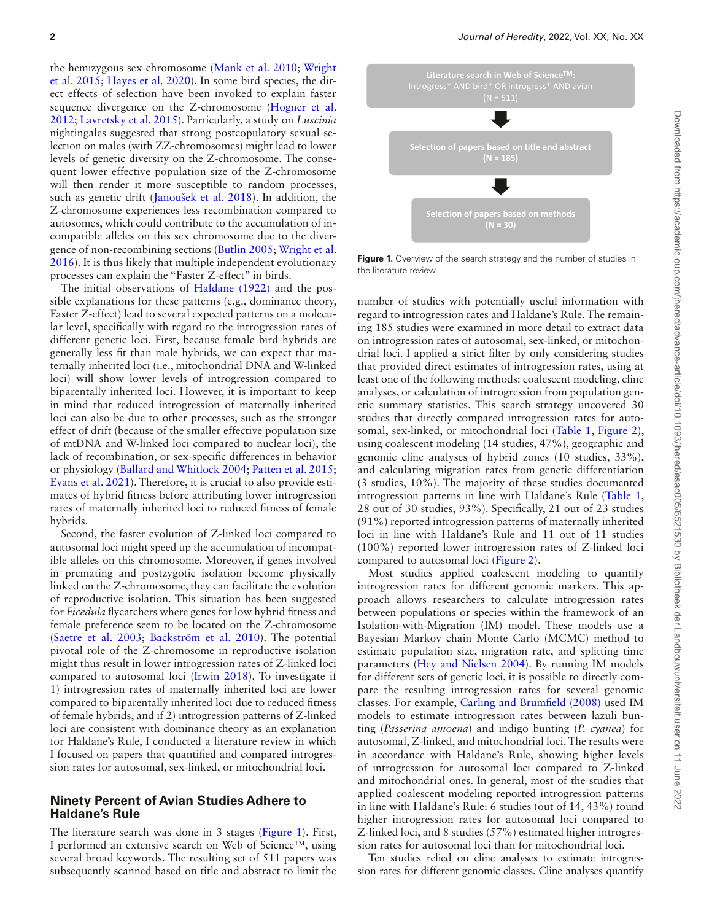<span id="page-1-11"></span><span id="page-1-10"></span><span id="page-1-7"></span><span id="page-1-5"></span>the hemizygous sex chromosome ([Mank et al. 2010;](#page-6-6) [Wright](#page-7-6)  [et al. 2015;](#page-7-6) [Hayes et al. 2020\)](#page-6-7). In some bird species, the direct effects of selection have been invoked to explain faster sequence divergence on the Z-chromosome ([Hogner et al.](#page-6-8)  [2012](#page-6-8); [Lavretsky et al. 2015](#page-6-9)). Particularly, a study on *Luscinia* nightingales suggested that strong postcopulatory sexual selection on males (with ZZ-chromosomes) might lead to lower levels of genetic diversity on the Z-chromosome. The consequent lower effective population size of the Z-chromosome will then render it more susceptible to random processes, such as genetic drift [\(Janoušek et al. 2018](#page-6-10)). In addition, the Z-chromosome experiences less recombination compared to autosomes, which could contribute to the accumulation of incompatible alleles on this sex chromosome due to the divergence of non-recombining sections [\(Butlin 2005](#page-5-2); [Wright et al.](#page-7-7)  [2016](#page-7-7)). It is thus likely that multiple independent evolutionary processes can explain the "Faster Z-effect" in birds.

<span id="page-1-9"></span><span id="page-1-3"></span>The initial observations of [Haldane \(1922\)](#page-6-0) and the possible explanations for these patterns (e.g., dominance theory, Faster Z-effect) lead to several expected patterns on a molecular level, specifcally with regard to the introgression rates of different genetic loci. First, because female bird hybrids are generally less ft than male hybrids, we can expect that maternally inherited loci (i.e., mitochondrial DNA and W-linked loci) will show lower levels of introgression compared to biparentally inherited loci. However, it is important to keep in mind that reduced introgression of maternally inherited loci can also be due to other processes, such as the stronger effect of drift (because of the smaller effective population size of mtDNA and W-linked loci compared to nuclear loci), the lack of recombination, or sex-specifc differences in behavior or physiology ([Ballard and Whitlock 2004](#page-5-3); [Patten et al. 2015](#page-6-11); [Evans et al. 2021\)](#page-6-12). Therefore, it is crucial to also provide estimates of hybrid ftness before attributing lower introgression rates of maternally inherited loci to reduced ftness of female hybrids.

<span id="page-1-13"></span><span id="page-1-4"></span><span id="page-1-2"></span>Second, the faster evolution of Z-linked loci compared to autosomal loci might speed up the accumulation of incompatible alleles on this chromosome. Moreover, if genes involved in premating and postzygotic isolation become physically linked on the Z-chromosome, they can facilitate the evolution of reproductive isolation. This situation has been suggested for *Ficedula* fycatchers where genes for low hybrid ftness and female preference seem to be located on the Z-chromosome ([Saetre et al. 2003](#page-7-8); [Backström et al. 2010\)](#page-5-4). The potential pivotal role of the Z-chromosome in reproductive isolation might thus result in lower introgression rates of Z-linked loci compared to autosomal loci ([Irwin 2018\)](#page-6-13). To investigate if 1) introgression rates of maternally inherited loci are lower compared to biparentally inherited loci due to reduced ftness of female hybrids, and if 2) introgression patterns of Z-linked loci are consistent with dominance theory as an explanation for Haldane's Rule, I conducted a literature review in which I focused on papers that quantifed and compared introgression rates for autosomal, sex-linked, or mitochondrial loci.

#### <span id="page-1-8"></span>**Ninety Percent of Avian Studies Adhere to Haldane's Rule**

The literature search was done in 3 stages ([Figure 1\)](#page-1-0). First, I performed an extensive search on Web of Science™, using several broad keywords. The resulting set of 511 papers was subsequently scanned based on title and abstract to limit the

<span id="page-1-15"></span>

<span id="page-1-14"></span><span id="page-1-0"></span>Figure 1. Overview of the search strategy and the number of studies in the literature review.

number of studies with potentially useful information with regard to introgression rates and Haldane's Rule. The remaining 185 studies were examined in more detail to extract data on introgression rates of autosomal, sex-linked, or mitochondrial loci. I applied a strict flter by only considering studies that provided direct estimates of introgression rates, using at least one of the following methods: coalescent modeling, cline analyses, or calculation of introgression from population genetic summary statistics. This search strategy uncovered 30 studies that directly compared introgression rates for autosomal, sex-linked, or mitochondrial loci [\(Table 1](#page-2-0), [Figure 2\)](#page-4-0), using coalescent modeling (14 studies, 47%), geographic and genomic cline analyses of hybrid zones (10 studies, 33%), and calculating migration rates from genetic differentiation (3 studies, 10%). The majority of these studies documented introgression patterns in line with Haldane's Rule [\(Table 1,](#page-2-0) 28 out of 30 studies, 93%). Specifcally, 21 out of 23 studies (91%) reported introgression patterns of maternally inherited loci in line with Haldane's Rule and 11 out of 11 studies (100%) reported lower introgression rates of Z-linked loci compared to autosomal loci ([Figure 2\)](#page-4-0).

<span id="page-1-12"></span><span id="page-1-6"></span><span id="page-1-1"></span>Most studies applied coalescent modeling to quantify introgression rates for different genomic markers. This approach allows researchers to calculate introgression rates between populations or species within the framework of an Isolation-with-Migration (IM) model. These models use a Bayesian Markov chain Monte Carlo (MCMC) method to estimate population size, migration rate, and splitting time parameters [\(Hey and Nielsen 2004](#page-6-14)). By running IM models for different sets of genetic loci, it is possible to directly compare the resulting introgression rates for several genomic classes. For example, [Carling and Brumfeld \(2008\)](#page-5-5) used IM models to estimate introgression rates between lazuli bunting (*Passerina amoena*) and indigo bunting (*P. cyanea*) for autosomal, Z-linked, and mitochondrial loci. The results were in accordance with Haldane's Rule, showing higher levels of introgression for autosomal loci compared to Z-linked and mitochondrial ones. In general, most of the studies that applied coalescent modeling reported introgression patterns in line with Haldane's Rule: 6 studies (out of 14, 43%) found higher introgression rates for autosomal loci compared to Z-linked loci, and 8 studies (57%) estimated higher introgression rates for autosomal loci than for mitochondrial loci.

Ten studies relied on cline analyses to estimate introgression rates for different genomic classes. Cline analyses quantify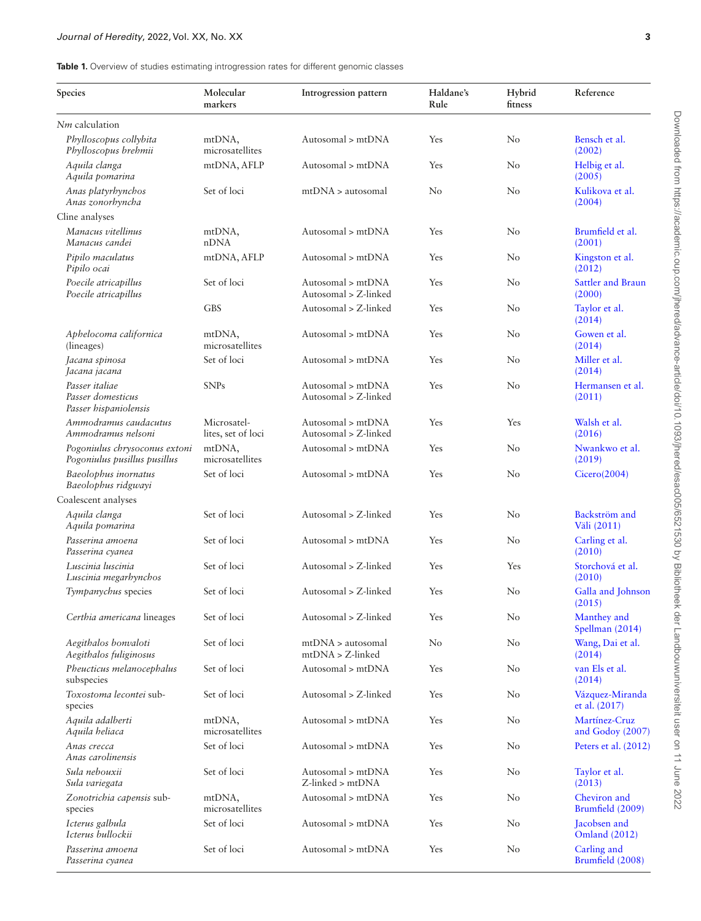<span id="page-2-0"></span>**Table 1.** Overview of studies estimating introgression rates for different genomic classes

<span id="page-2-27"></span><span id="page-2-26"></span><span id="page-2-25"></span><span id="page-2-24"></span><span id="page-2-23"></span><span id="page-2-22"></span><span id="page-2-21"></span><span id="page-2-20"></span><span id="page-2-19"></span><span id="page-2-18"></span><span id="page-2-17"></span><span id="page-2-16"></span><span id="page-2-15"></span><span id="page-2-14"></span><span id="page-2-13"></span><span id="page-2-12"></span><span id="page-2-11"></span><span id="page-2-10"></span><span id="page-2-9"></span><span id="page-2-8"></span><span id="page-2-7"></span><span id="page-2-6"></span><span id="page-2-5"></span><span id="page-2-4"></span><span id="page-2-3"></span><span id="page-2-2"></span><span id="page-2-1"></span>

| Species                                                       | Molecular<br>markers              | Introgression pattern                     | Haldane's<br>Rule | Hybrid<br>fitness | Reference                            |
|---------------------------------------------------------------|-----------------------------------|-------------------------------------------|-------------------|-------------------|--------------------------------------|
| Nm calculation                                                |                                   |                                           |                   |                   |                                      |
| Phylloscopus collybita<br>Phylloscopus brehmii                | mtDNA,<br>microsatellites         | Autosomal > mtDNA                         | Yes               | No                | Bensch et al.<br>(2002)              |
| Aquila clanga<br>Aquila pomarina                              | mtDNA, AFLP                       | Autosomal > mtDNA                         | Yes               | No                | Helbig et al.<br>(2005)              |
| Anas platyrhynchos<br>Anas zonorhyncha                        | Set of loci                       | mtDNA > autosomal                         | N <sub>o</sub>    | $\rm No$          | Kulikova et al.<br>(2004)            |
| Cline analyses                                                |                                   |                                           |                   |                   |                                      |
| Manacus vitellinus<br>Manacus candei                          | mtDNA,<br>nDNA                    | Autosomal > mtDNA                         | Yes               | No                | Brumfield et al.<br>(2001)           |
| Pipilo maculatus<br>Pipilo ocai                               | mtDNA, AFLP                       | Autosomal > mtDNA                         | Yes               | $\rm No$          | Kingston et al.<br>(2012)            |
| Poecile atricapillus<br>Poecile atricapillus                  | Set of loci                       | Autosomal > mtDNA<br>Autosomal > Z-linked | Yes               | $\rm No$          | Sattler and Braun<br>(2000)          |
|                                                               | <b>GBS</b>                        | Autosomal > Z-linked                      | Yes               | No                | Taylor et al.<br>(2014)              |
| Aphelocoma californica<br>(lineages)                          | mtDNA,<br>microsatellites         | Autosomal > mtDNA                         | Yes               | No                | Gowen et al.<br>(2014)               |
| Jacana spinosa<br>Jacana jacana                               | Set of loci                       | Autosomal > mtDNA                         | Yes               | $\rm No$          | Miller et al.<br>(2014)              |
| Passer italiae<br>Passer domesticus<br>Passer hispaniolensis  | <b>SNPs</b>                       | Autosomal > mtDNA<br>Autosomal > Z-linked | Yes               | No                | Hermansen et al.<br>(2011)           |
| Ammodramus caudacutus<br>Ammodramus nelsoni                   | Microsatel-<br>lites, set of loci | Autosomal > mtDNA<br>Autosomal > Z-linked | Yes               | Yes               | Walsh et al.<br>(2016)               |
| Pogoniulus chrysoconus extoni<br>Pogoniulus pusillus pusillus | mtDNA,<br>microsatellites         | Autosomal > mtDNA                         | Yes               | No                | Nwankwo et al.<br>(2019)             |
| Baeolophus inornatus<br>Baeolophus ridgwayi                   | Set of loci                       | Autosomal > mtDNA                         | Yes               | No                | Cicero(2004)                         |
| Coalescent analyses                                           |                                   |                                           |                   |                   |                                      |
| Aquila clanga<br>Aquila pomarina                              | Set of loci                       | Autosomal > Z-linked                      | Yes               | No                | Backström and<br>Väli (2011)         |
| Passerina amoena<br>Passerina cyanea                          | Set of loci                       | Autosomal > mtDNA                         | Yes               | $\rm No$          | Carling et al.<br>(2010)             |
| Luscinia luscinia<br>Luscinia megarhynchos                    | Set of loci                       | Autosomal > Z-linked                      | Yes               | Yes               | Storchová et al.<br>(2010)           |
| Tympanychus species                                           | Set of loci                       | Autosomal > Z-linked                      | Yes               | $\rm No$          | Galla and Johnson<br>(2015)          |
| Certhia americana lineages                                    | Set of loci                       | Autosomal > Z-linked                      | Yes               | $\rm No$          | Manthey and<br>Spellman (2014)       |
| Aegithalos bonvaloti<br>Aegithalos fuliginosus                | Set of loci                       | mtDNA > autosomal<br>$mtDNA > Z$ -linked  | $\rm No$          | No                | Wang, Dai et al.<br>(2014)           |
| Pheucticus melanocephalus<br>subspecies                       | Set of loci                       | Autosomal > mtDNA                         | Yes               | No                | van Els et al.<br>(2014)             |
| Toxostoma lecontei sub-<br>species                            | Set of loci                       | Autosomal > Z-linked                      | Yes               | No                | Vázquez-Miranda<br>et al. (2017)     |
| Aquila adalberti<br>Aquila heliaca                            | mtDNA,<br>microsatellites         | Autosomal > mtDNA                         | Yes               | $\rm No$          | Martínez-Cruz<br>and Godoy (2007)    |
| Anas crecca<br>Anas carolinensis                              | Set of loci                       | Autosomal > mtDNA                         | Yes               | No                | Peters et al. (2012)                 |
| Sula nebouxii<br>Sula variegata                               | Set of loci                       | Autosomal > mtDNA<br>Z-linked > mtDNA     | Yes               | No                | Taylor et al.<br>(2013)              |
| Zonotrichia capensis sub-<br>species                          | mtDNA,<br>microsatellites         | Autosomal > mtDNA                         | Yes               | $\rm No$          | Cheviron and<br>Brumfield (2009)     |
| Icterus galbula<br>Icterus bullockii                          | Set of loci                       | Autosomal > mtDNA                         | Yes               | No                | Jacobsen and<br><b>Omland</b> (2012) |
| Passerina amoena<br>Passerina cyanea                          | Set of loci                       | Autosomal > mtDNA                         | Yes               | No                | Carling and<br>Brumfield (2008)      |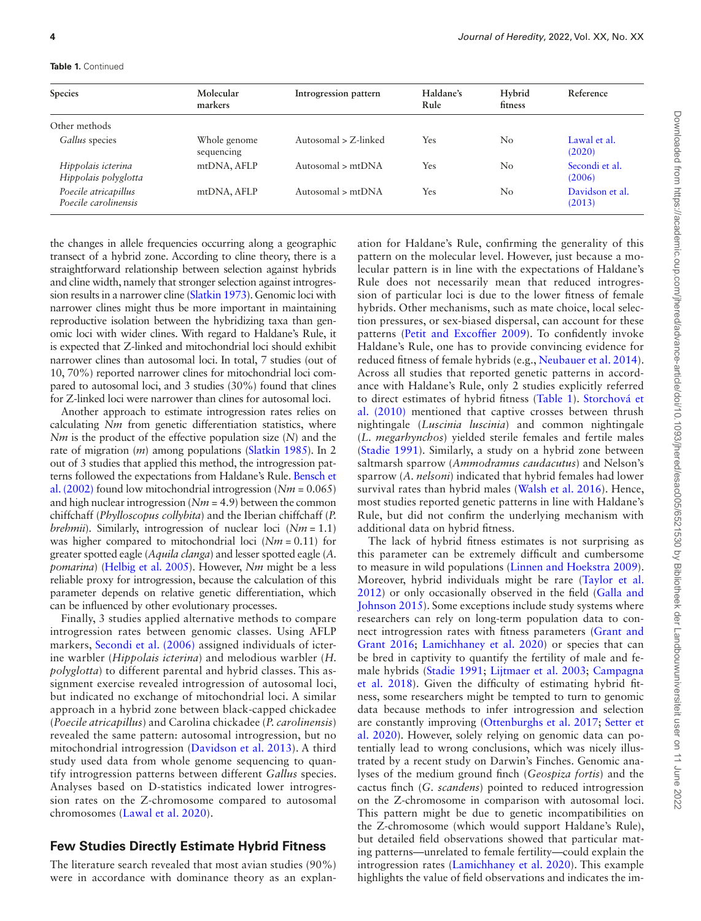#### **Table 1.** Continued

| Species                                      | Molecular                  | Introgression pattern | Haldane's | Hybrid<br>fitness | Reference                 |
|----------------------------------------------|----------------------------|-----------------------|-----------|-------------------|---------------------------|
|                                              | markers                    |                       | Rule      |                   |                           |
| Other methods                                |                            |                       |           |                   |                           |
| Gallus species                               | Whole genome<br>sequencing | Autosomal > Z-linked  | Yes       | $\rm No$          | Lawal et al.<br>(2020)    |
| Hippolais icterina<br>Hippolais polyglotta   | mtDNA, AFLP                | Autosomal $>$ mtDNA   | Yes       | No                | Secondi et al.<br>(2006)  |
| Poecile atricapillus<br>Poecile carolinensis | mtDNA, AFLP                | Autosomal $>$ mtDNA   | Yes       | $\rm No$          | Davidson et al.<br>(2013) |

<span id="page-3-11"></span>the changes in allele frequencies occurring along a geographic transect of a hybrid zone. According to cline theory, there is a straightforward relationship between selection against hybrids and cline width, namely that stronger selection against introgression results in a narrower cline [\(Slatkin 1973\)](#page-7-18). Genomic loci with narrower clines might thus be more important in maintaining reproductive isolation between the hybridizing taxa than genomic loci with wider clines. With regard to Haldane's Rule, it is expected that Z-linked and mitochondrial loci should exhibit narrower clines than autosomal loci. In total, 7 studies (out of 10, 70%) reported narrower clines for mitochondrial loci compared to autosomal loci, and 3 studies (30%) found that clines for Z-linked loci were narrower than clines for autosomal loci.

Another approach to estimate introgression rates relies on calculating *Nm* from genetic differentiation statistics, where *Nm* is the product of the effective population size (*N*) and the rate of migration (*m*) among populations [\(Slatkin 1985](#page-7-19)). In 2 out of 3 studies that applied this method, the introgression patterns followed the expectations from Haldane's Rule. [Bensch et](#page-5-6)  [al. \(2002\)](#page-5-6) found low mitochondrial introgression (*Nm* = 0.065) and high nuclear introgression (*Nm* = 4.9) between the common chiffchaff (*Phylloscopus collybita*) and the Iberian chiffchaff (*P. brehmii*). Similarly, introgression of nuclear loci (*Nm* = 1.1) was higher compared to mitochondrial loci (*Nm* = 0.11) for greater spotted eagle (*Aquila clanga*) and lesser spotted eagle (*A. pomarina*) [\(Helbig et al. 2005](#page-6-15)). However, *Nm* might be a less reliable proxy for introgression, because the calculation of this parameter depends on relative genetic differentiation, which can be infuenced by other evolutionary processes.

Finally, 3 studies applied alternative methods to compare introgression rates between genomic classes. Using AFLP markers, [Secondi et al. \(2006\)](#page-7-20) assigned individuals of icterine warbler (*Hippolais icterina*) and melodious warbler (*H. polyglotta*) to different parental and hybrid classes. This assignment exercise revealed introgression of autosomal loci, but indicated no exchange of mitochondrial loci. A similar approach in a hybrid zone between black-capped chickadee (*Poecile atricapillus*) and Carolina chickadee (*P. carolinensis*) revealed the same pattern: autosomal introgression, but no mitochondrial introgression [\(Davidson et al. 2013](#page-5-12)). A third study used data from whole genome sequencing to quantify introgression patterns between different *Gallus* species. Analyses based on D-statistics indicated lower introgression rates on the Z-chromosome compared to autosomal chromosomes [\(Lawal et al. 2020](#page-6-26)).

# **Few Studies Directly Estimate Hybrid Fitness**

The literature search revealed that most avian studies (90%) were in accordance with dominance theory as an explan<span id="page-3-9"></span><span id="page-3-8"></span><span id="page-3-6"></span><span id="page-3-4"></span><span id="page-3-1"></span>ation for Haldane's Rule, confrming the generality of this pattern on the molecular level. However, just because a molecular pattern is in line with the expectations of Haldane's Rule does not necessarily mean that reduced introgression of particular loci is due to the lower ftness of female hybrids. Other mechanisms, such as mate choice, local selection pressures, or sex-biased dispersal, can account for these patterns ([Petit and Excoffer 2009](#page-7-21)). To confdently invoke Haldane's Rule, one has to provide convincing evidence for reduced ftness of female hybrids (e.g., [Neubauer et al. 2014\)](#page-6-27). Across all studies that reported genetic patterns in accordance with Haldane's Rule, only 2 studies explicitly referred to direct estimates of hybrid ftness [\(Table 1\)](#page-2-0). [Storchová et](#page-7-12) [al. \(2010\)](#page-7-12) mentioned that captive crosses between thrush nightingale (*Luscinia luscinia*) and common nightingale (*L. megarhynchos*) yielded sterile females and fertile males ([Stadie 1991\)](#page-7-22). Similarly, a study on a hybrid zone between saltmarsh sparrow (*Ammodramus caudacutus*) and Nelson's sparrow (*A. nelsoni*) indicated that hybrid females had lower survival rates than hybrid males [\(Walsh et al. 2016](#page-7-11)). Hence, most studies reported genetic patterns in line with Haldane's Rule, but did not confrm the underlying mechanism with additional data on hybrid ftness.

<span id="page-3-14"></span><span id="page-3-13"></span><span id="page-3-12"></span><span id="page-3-10"></span><span id="page-3-7"></span><span id="page-3-5"></span><span id="page-3-3"></span><span id="page-3-2"></span><span id="page-3-0"></span>The lack of hybrid ftness estimates is not surprising as this parameter can be extremely diffcult and cumbersome to measure in wild populations ([Linnen and Hoekstra 2009\)](#page-6-28). Moreover, hybrid individuals might be rare ([Taylor et al.](#page-7-23) [2012](#page-7-23)) or only occasionally observed in the feld ([Galla and](#page-6-22) [Johnson 2015\)](#page-6-22). Some exceptions include study systems where researchers can rely on long-term population data to connect introgression rates with ftness parameters ([Grant and](#page-6-29) [Grant 2016](#page-6-29); [Lamichhaney et al. 2020\)](#page-6-30) or species that can be bred in captivity to quantify the fertility of male and female hybrids ([Stadie 1991;](#page-7-22) [Lijtmaer et al. 2003;](#page-6-2) [Campagna](#page-5-13) [et al. 2018](#page-5-13)). Given the diffculty of estimating hybrid ftness, some researchers might be tempted to turn to genomic data because methods to infer introgression and selection are constantly improving [\(Ottenburghs et al. 2017](#page-6-31); [Setter et](#page-7-24) [al. 2020](#page-7-24)). However, solely relying on genomic data can potentially lead to wrong conclusions, which was nicely illustrated by a recent study on Darwin's Finches. Genomic analyses of the medium ground fnch (*Geospiza fortis*) and the cactus fnch (*G. scandens*) pointed to reduced introgression on the Z-chromosome in comparison with autosomal loci. This pattern might be due to genetic incompatibilities on the Z-chromosome (which would support Haldane's Rule), but detailed feld observations showed that particular mating patterns—unrelated to female fertility—could explain the introgression rates [\(Lamichhaney et al. 2020\)](#page-6-30). This example highlights the value of feld observations and indicates the im-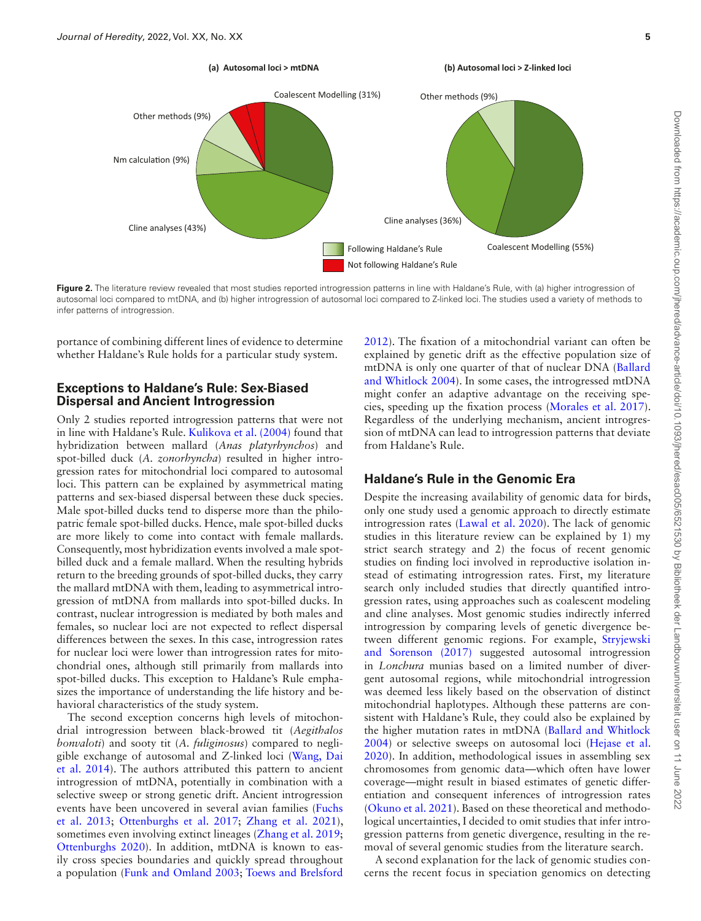

<span id="page-4-0"></span>Figure 2. The literature review revealed that most studies reported introgression patterns in line with Haldane's Rule, with (a) higher introgression of autosomal loci compared to mtDNA, and (b) higher introgression of autosomal loci compared to Z-linked loci. The studies used a variety of methods to infer patterns of introgression.

portance of combining different lines of evidence to determine whether Haldane's Rule holds for a particular study system.

#### **Exceptions to Haldane's Rule: Sex-Biased Dispersal and Ancient Introgression**

Only 2 studies reported introgression patterns that were not in line with Haldane's Rule. [Kulikova et al. \(2004\)](#page-6-16) found that hybridization between mallard (*Anas platyrhynchos*) and spot-billed duck (*A. zonorhyncha*) resulted in higher introgression rates for mitochondrial loci compared to autosomal loci. This pattern can be explained by asymmetrical mating patterns and sex-biased dispersal between these duck species. Male spot-billed ducks tend to disperse more than the philopatric female spot-billed ducks. Hence, male spot-billed ducks are more likely to come into contact with female mallards. Consequently, most hybridization events involved a male spotbilled duck and a female mallard. When the resulting hybrids return to the breeding grounds of spot-billed ducks, they carry the mallard mtDNA with them, leading to asymmetrical introgression of mtDNA from mallards into spot-billed ducks. In contrast, nuclear introgression is mediated by both males and females, so nuclear loci are not expected to refect dispersal differences between the sexes. In this case, introgression rates for nuclear loci were lower than introgression rates for mitochondrial ones, although still primarily from mallards into spot-billed ducks. This exception to Haldane's Rule emphasizes the importance of understanding the life history and behavioral characteristics of the study system.

<span id="page-4-10"></span><span id="page-4-6"></span><span id="page-4-2"></span><span id="page-4-1"></span>The second exception concerns high levels of mitochondrial introgression between black-browed tit (*Aegithalos bonvaloti*) and sooty tit (*A. fuliginosus*) compared to negligible exchange of autosomal and Z-linked loci [\(Wang, Dai](#page-7-13) [et al. 2014](#page-7-13)). The authors attributed this pattern to ancient introgression of mtDNA, potentially in combination with a selective sweep or strong genetic drift. Ancient introgression events have been uncovered in several avian families [\(Fuchs](#page-6-32) [et al. 2013](#page-6-32); [Ottenburghs et al. 2017](#page-6-31); [Zhang et al. 2021](#page-7-25)), sometimes even involving extinct lineages [\(Zhang et al. 2019;](#page-7-26) [Ottenburghs 2020](#page-6-33)). In addition, mtDNA is known to easily cross species boundaries and quickly spread throughout a population ([Funk and Omland 2003;](#page-6-34) [Toews and Brelsford](#page-7-27) <span id="page-4-4"></span>[2012](#page-7-27)). The fxation of a mitochondrial variant can often be explained by genetic drift as the effective population size of mtDNA is only one quarter of that of nuclear DNA ([Ballard](#page-5-3)  [and Whitlock 2004](#page-5-3)). In some cases, the introgressed mtDNA might confer an adaptive advantage on the receiving species, speeding up the fxation process [\(Morales et al. 2017](#page-6-35)). Regardless of the underlying mechanism, ancient introgression of mtDNA can lead to introgression patterns that deviate from Haldane's Rule.

# **Haldane's Rule in the Genomic Era**

<span id="page-4-7"></span>Despite the increasing availability of genomic data for birds, only one study used a genomic approach to directly estimate introgression rates ([Lawal et al. 2020](#page-6-26)). The lack of genomic studies in this literature review can be explained by 1) my strict search strategy and 2) the focus of recent genomic studies on fnding loci involved in reproductive isolation instead of estimating introgression rates. First, my literature search only included studies that directly quantifed introgression rates, using approaches such as coalescent modeling and cline analyses. Most genomic studies indirectly inferred introgression by comparing levels of genetic divergence between different genomic regions. For example, [Stryjewski](#page-7-28)  [and Sorenson \(2017\)](#page-7-28) suggested autosomal introgression in *Lonchura* munias based on a limited number of divergent autosomal regions, while mitochondrial introgression was deemed less likely based on the observation of distinct mitochondrial haplotypes. Although these patterns are consistent with Haldane's Rule, they could also be explained by the higher mutation rates in mtDNA ([Ballard and Whitlock](#page-5-3)  [2004](#page-5-3)) or selective sweeps on autosomal loci [\(Hejase et al.](#page-6-36)  [2020](#page-6-36)). In addition, methodological issues in assembling sex chromosomes from genomic data—which often have lower coverage—might result in biased estimates of genetic differentiation and consequent inferences of introgression rates ([Okuno et al. 2021\)](#page-6-37). Based on these theoretical and methodological uncertainties, I decided to omit studies that infer introgression patterns from genetic divergence, resulting in the removal of several genomic studies from the literature search.

<span id="page-4-9"></span><span id="page-4-8"></span><span id="page-4-5"></span><span id="page-4-3"></span>A second explanation for the lack of genomic studies concerns the recent focus in speciation genomics on detecting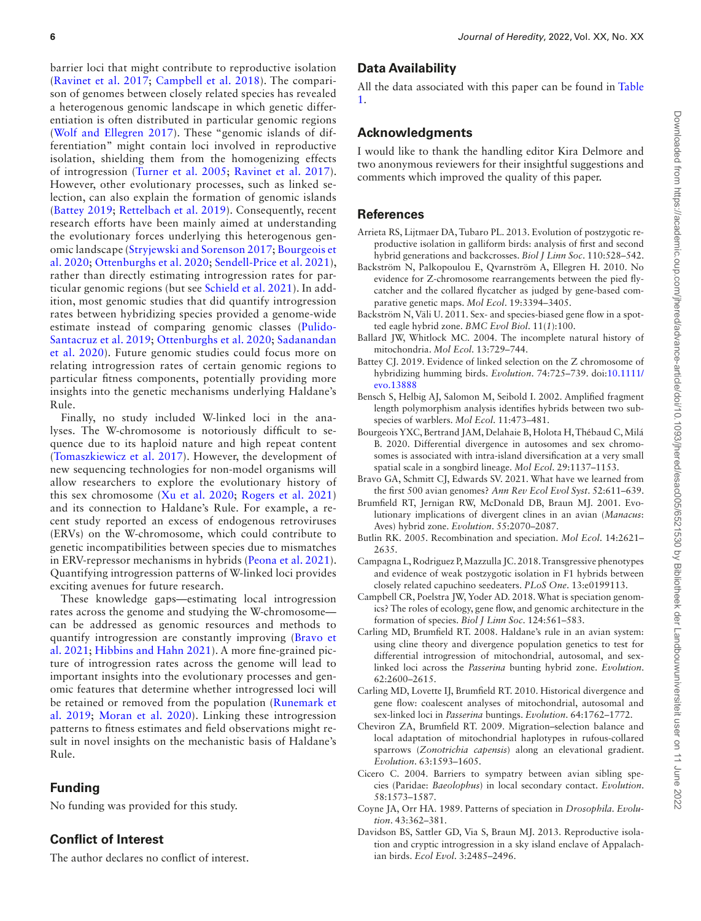<span id="page-5-36"></span><span id="page-5-35"></span><span id="page-5-27"></span><span id="page-5-18"></span>barrier loci that might contribute to reproductive isolation ([Ravinet et al. 2017](#page-7-29); [Campbell et al. 2018\)](#page-5-14). The comparison of genomes between closely related species has revealed a heterogenous genomic landscape in which genetic differentiation is often distributed in particular genomic regions ([Wolf and Ellegren 2017](#page-7-30)). These "genomic islands of differentiation" might contain loci involved in reproductive isolation, shielding them from the homogenizing effects of introgression [\(Turner et al. 2005;](#page-7-31) [Ravinet et al. 2017](#page-7-29)). However, other evolutionary processes, such as linked selection, can also explain the formation of genomic islands ([Battey 2019;](#page-5-15) [Rettelbach et al. 2019](#page-7-32)). Consequently, recent research efforts have been mainly aimed at understanding the evolutionary forces underlying this heterogenous genomic landscape ([Stryjewski and Sorenson 2017](#page-7-28); [Bourgeois et](#page-5-16)  [al. 2020;](#page-5-16) [Ottenburghs et al. 2020;](#page-6-38) [Sendell-Price et al. 2021](#page-7-33)), rather than directly estimating introgression rates for particular genomic regions (but see [Schield et al. 2021\)](#page-7-34). In addition, most genomic studies that did quantify introgression rates between hybridizing species provided a genome-wide estimate instead of comparing genomic classes [\(Pulido-](#page-7-35)[Santacruz et al. 2019](#page-7-35); [Ottenburghs et al. 2020;](#page-6-38) [Sadanandan](#page-7-36)  [et al. 2020](#page-7-36)). Future genomic studies could focus more on relating introgression rates of certain genomic regions to particular ftness components, potentially providing more insights into the genetic mechanisms underlying Haldane's Rule.

<span id="page-5-37"></span><span id="page-5-34"></span><span id="page-5-32"></span><span id="page-5-26"></span><span id="page-5-24"></span>Finally, no study included W-linked loci in the analyses. The W-chromosome is notoriously difficult to sequence due to its haploid nature and high repeat content ([Tomaszkiewicz et al. 2017](#page-7-37)). However, the development of new sequencing technologies for non-model organisms will allow researchers to explore the evolutionary history of this sex chromosome ([Xu et al. 2020;](#page-7-38) [Rogers et al. 2021\)](#page-7-39) and its connection to Haldane's Rule. For example, a recent study reported an excess of endogenous retroviruses (ERVs) on the W-chromosome, which could contribute to genetic incompatibilities between species due to mismatches in ERV-repressor mechanisms in hybrids ([Peona et al. 2021](#page-6-39)). Quantifying introgression patterns of W-linked loci provides exciting avenues for future research.

<span id="page-5-25"></span><span id="page-5-22"></span><span id="page-5-20"></span>These knowledge gaps—estimating local introgression rates across the genome and studying the W-chromosome can be addressed as genomic resources and methods to quantify introgression are constantly improving [\(Bravo et](#page-5-17)  [al. 2021;](#page-5-17) [Hibbins and Hahn 2021\)](#page-6-40). A more fne-grained picture of introgression rates across the genome will lead to important insights into the evolutionary processes and genomic features that determine whether introgressed loci will be retained or removed from the population [\(Runemark et](#page-7-40)  [al. 2019](#page-7-40); [Moran et al. 2020\)](#page-6-41). Linking these introgression patterns to ftness estimates and feld observations might result in novel insights on the mechanistic basis of Haldane's Rule.

## <span id="page-5-30"></span><span id="page-5-23"></span>**Funding**

No funding was provided for this study.

# **Confict of Interest**

The author declares no confict of interest.

#### **Data Availability**

<span id="page-5-21"></span>All the data associated with this paper can be found in [Table](#page-2-0) [1.](#page-2-0)

# **Acknowledgments**

I would like to thank the handling editor Kira Delmore and two anonymous reviewers for their insightful suggestions and comments which improved the quality of this paper.

#### <span id="page-5-28"></span>**References**

- <span id="page-5-19"></span><span id="page-5-0"></span>[Arrieta RS, Lijtmaer DA, Tubaro PL.](#page-0-0) 2013. Evolution of postzygotic reproductive isolation in galliform birds: analysis of frst and second hybrid generations and backcrosses. *Biol J Linn Soc*. 110:528–542.
- <span id="page-5-33"></span><span id="page-5-4"></span>[Backström N, Palkopoulou E, Qvarnström A, Ellegren H.](#page-1-1) 2010. No evidence for Z-chromosome rearrangements between the pied fycatcher and the collared fycatcher as judged by gene-based comparative genetic maps. *Mol Ecol*. 19:3394–3405.
- <span id="page-5-9"></span>[Backström N, Väli U.](#page-2-1) 2011. Sex- and species-biased gene flow in a spotted eagle hybrid zone. *BMC Evol Biol*. 11(*1*):100.
- <span id="page-5-31"></span><span id="page-5-3"></span>[Ballard JW, Whitlock MC.](#page-1-2) 2004. The incomplete natural history of mitochondria. *Mol Ecol*. 13:729–744.
- <span id="page-5-15"></span>[Battey CJ.](#page-5-18) 2019. Evidence of linked selection on the Z chromosome of hybridizing humming birds. *Evolution*. 74:725–739. doi:[10.1111/](https://doi.org/10.1111/evo.13888) [evo.13888](https://doi.org/10.1111/evo.13888)
- <span id="page-5-6"></span>[Bensch S, Helbig AJ, Salomon M, Seibold I.](#page-2-2) 2002. Amplifed fragment length polymorphism analysis identifes hybrids between two subspecies of warblers. *Mol Ecol*. 11:473–481.
- <span id="page-5-16"></span>[Bourgeois YXC, Bertrand JAM, Delahaie B, Holota H, Th](#page-5-19)ébaud C, Milá [B.](#page-5-19) 2020. Differential divergence in autosomes and sex chromosomes is associated with intra-island diversifcation at a very small spatial scale in a songbird lineage. *Mol Ecol*. 29:1137–1153.
- <span id="page-5-17"></span>[Bravo GA, Schmitt CJ, Edwards SV.](#page-5-20) 2021. What have we learned from the frst 500 avian genomes? *Ann Rev Ecol Evol Syst*. 52:611–639.
- <span id="page-5-29"></span><span id="page-5-7"></span>[Brumfeld RT, Jernigan RW, McDonald DB, Braun MJ.](#page-2-3) 2001. Evolutionary implications of divergent clines in an avian (*Manacus*: Aves) hybrid zone. *Evolution*. 55:2070–2087.
- <span id="page-5-2"></span>[Butlin RK.](#page-1-3) 2005. Recombination and speciation. *Mol Ecol*. 14:2621– 2635.
- <span id="page-5-13"></span>[Campagna L, Rodriguez P, Mazzulla JC.](#page-3-0) 2018. Transgressive phenotypes and evidence of weak postzygotic isolation in F1 hybrids between closely related capuchino seedeaters. *PLoS One*. 13:e0199113.
- <span id="page-5-14"></span>[Campbell CR, Poelstra JW, Yoder AD.](#page-5-21) 2018. What is speciation genomics? The roles of ecology, gene flow, and genomic architecture in the formation of species. *Biol J Linn Soc*. 124:561–583.
- <span id="page-5-5"></span>[Carling MD, Brumfeld RT.](#page-2-4) 2008. Haldane's rule in an avian system: using cline theory and divergence population genetics to test for differential introgression of mitochondrial, autosomal, and sexlinked loci across the *Passerina* bunting hybrid zone. *Evolution*. 62:2600–2615.
- <span id="page-5-10"></span>[Carling MD, Lovette IJ, Brumfeld RT.](#page-2-5) 2010. Historical divergence and gene flow: coalescent analyses of mitochondrial, autosomal and sex-linked loci in *Passerina* buntings. *Evolution*. 64:1762–1772.
- <span id="page-5-11"></span>[Cheviron ZA, Brumfeld RT.](#page-2-6) 2009. Migration–selection balance and local adaptation of mitochondrial haplotypes in rufous-collared sparrows (*Zonotrichia capensis*) along an elevational gradient. *Evolution*. 63:1593–1605.
- <span id="page-5-8"></span>[Cicero C.](#page-2-7) 2004. Barriers to sympatry between avian sibling species (Paridae: *Baeolophus*) in local secondary contact. *Evolution*. 58:1573–1587.
- <span id="page-5-1"></span>[Coyne JA, Orr HA.](#page-0-1) 1989. Patterns of speciation in *Drosophila*. *Evolution*. 43:362–381.
- <span id="page-5-12"></span>[Davidson BS, Sattler GD, Via S, Braun MJ.](#page-3-1) 2013. Reproductive isolation and cryptic introgression in a sky island enclave of Appalachian birds. *Ecol Evol*. 3:2485–2496.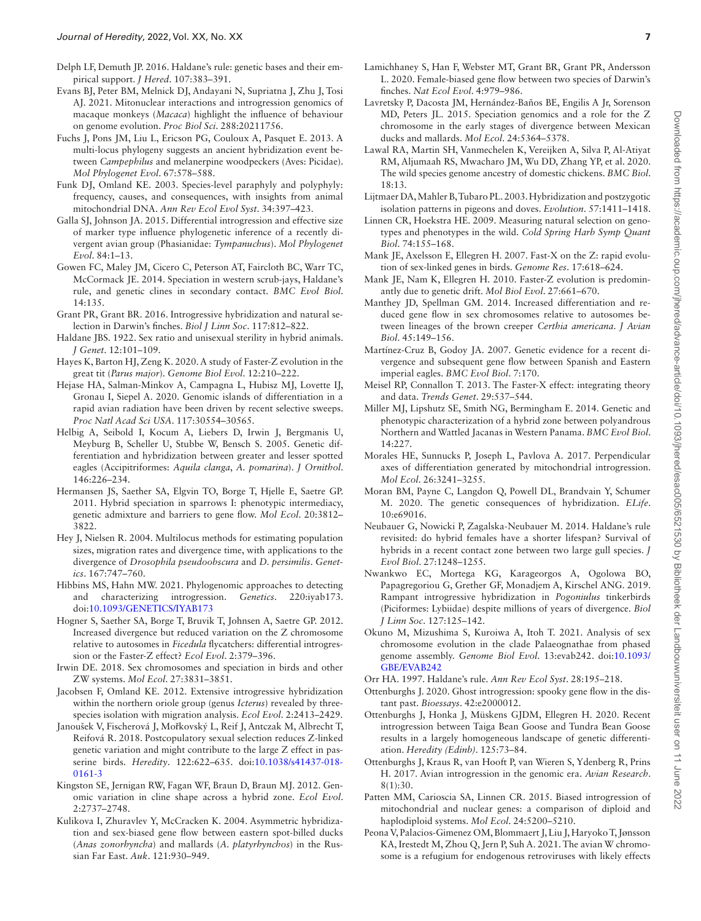- <span id="page-6-3"></span>[Delph LF, Demuth JP.](#page-0-2) 2016. Haldane's rule: genetic bases and their empirical support. *J Hered*. 107:383–391.
- <span id="page-6-12"></span>[Evans BJ, Peter BM, Melnick DJ, Andayani N, Supriatna J, Zhu J, Tosi](#page-1-4) [AJ.](#page-1-4) 2021. Mitonuclear interactions and introgression genomics of macaque monkeys (*Macaca*) highlight the infuence of behaviour on genome evolution. *Proc Biol Sci*. 288:20211756.
- <span id="page-6-32"></span>[Fuchs J, Pons JM, Liu L, Ericson PG, Couloux A, Pasquet E.](#page-4-1) 2013. A multi-locus phylogeny suggests an ancient hybridization event between *Campephilus* and melanerpine woodpeckers (Aves: Picidae). *Mol Phylogenet Evol*. 67:578–588.
- <span id="page-6-34"></span>[Funk DJ, Omland KE.](#page-4-2) 2003. Species-level paraphyly and polyphyly: frequency, causes, and consequences, with insights from animal mitochondrial DNA. *Ann Rev Ecol Evol Syst*. 34:397–423.
- <span id="page-6-22"></span>[Galla SJ, Johnson JA.](#page-2-8) 2015. Differential introgression and effective size of marker type infuence phylogenetic inference of a recently divergent avian group (Phasianidae: *Tympanuchus*). *Mol Phylogenet Evol*. 84:1–13.
- <span id="page-6-18"></span>[Gowen FC, Maley JM, Cicero C, Peterson AT, Faircloth BC, Warr TC,](#page-2-9) [McCormack JE.](#page-2-9) 2014. Speciation in western scrub-jays, Haldane's rule, and genetic clines in secondary contact. *BMC Evol Biol*. 14:135.
- <span id="page-6-29"></span>[Grant PR, Grant BR.](#page-3-2) 2016. Introgressive hybridization and natural selection in Darwin's fnches. *Biol J Linn Soc*. 117:812–822.
- <span id="page-6-0"></span>[Haldane JBS.](#page-0-3) 1922. Sex ratio and unisexual sterility in hybrid animals. *J Genet*. 12:101–109.
- <span id="page-6-7"></span>[Hayes K, Barton HJ, Zeng K.](#page-1-5) 2020. A study of Faster-Z evolution in the great tit (*Parus major*). *Genome Biol Evol*. 12:210–222.
- <span id="page-6-36"></span>[Hejase HA, Salman-Minkov A, Campagna L, Hubisz MJ, Lovette IJ,](#page-4-3) [Gronau I, Siepel A.](#page-4-3) 2020. Genomic islands of differentiation in a rapid avian radiation have been driven by recent selective sweeps. *Proc Natl Acad Sci USA*. 117:30554–30565.
- <span id="page-6-15"></span>[Helbig A, Seibold I, Kocum A, Liebers D, Irwin J, Bergmanis U,](#page-2-10) [Meyburg B, Scheller U, Stubbe W, Bensch S.](#page-2-10) 2005. Genetic differentiation and hybridization between greater and lesser spotted eagles (Accipitriformes: *Aquila clanga*, *A. pomarina*). *J Ornithol*. 146:226–234.
- <span id="page-6-20"></span>[Hermansen JS, Saether SA, Elgvin TO, Borge T, Hjelle E, Saetre GP.](#page-2-11) 2011. Hybrid speciation in sparrows I: phenotypic intermediacy, genetic admixture and barriers to gene fow. *Mol Ecol*. 20:3812– 3822.
- <span id="page-6-14"></span>[Hey J, Nielsen R.](#page-1-6) 2004. Multilocus methods for estimating population sizes, migration rates and divergence time, with applications to the divergence of *Drosophila pseudoobscura* and *D. persimilis*. *Genetics*. 167:747–760.
- <span id="page-6-40"></span>[Hibbins MS, Hahn MW.](#page-5-22) 2021. Phylogenomic approaches to detecting and characterizing introgression. *Genetics*. 220:iyab173. doi:[10.1093/GENETICS/IYAB173](https://doi.org/10.1093/GENETICS/IYAB173)
- <span id="page-6-8"></span>[Hogner S, Saether SA, Borge T, Bruvik T, Johnsen A, Saetre GP.](#page-1-7) 2012. Increased divergence but reduced variation on the Z chromosome relative to autosomes in *Ficedula* fycatchers: differential introgression or the Faster-Z effect? *Ecol Evol*. 2:379–396.
- <span id="page-6-13"></span>[Irwin DE.](#page-1-8) 2018. Sex chromosomes and speciation in birds and other ZW systems. *Mol Ecol*. 27:3831–3851.
- <span id="page-6-25"></span>[Jacobsen F, Omland KE.](#page-2-12) 2012. Extensive introgressive hybridization within the northern oriole group (genus *Icterus*) revealed by threespecies isolation with migration analysis. *Ecol Evol*. 2:2413–2429.
- <span id="page-6-10"></span>Janoušek V, Fischerová J, Moř[kovský L, Reif J, Antczak M, Albrecht T,](#page-1-9) [Reifová R.](#page-1-9) 2018. Postcopulatory sexual selection reduces Z-linked genetic variation and might contribute to the large Z effect in passerine birds. *Heredity*. 122:622–635. doi[:10.1038/s41437-018-](https://doi.org/10.1038/s41437-018-0161-3) [0161-3](https://doi.org/10.1038/s41437-018-0161-3)
- <span id="page-6-17"></span>[Kingston SE, Jernigan RW, Fagan WF, Braun D, Braun MJ.](#page-2-13) 2012. Genomic variation in cline shape across a hybrid zone. *Ecol Evol*. 2:2737–2748.
- <span id="page-6-16"></span>[Kulikova I, Zhuravlev Y, McCracken K.](#page-2-14) 2004. Asymmetric hybridization and sex-biased gene flow between eastern spot-billed ducks (*Anas zonorhyncha*) and mallards (*A. platyrhynchos*) in the Russian Far East. *Auk*. 121:930–949.
- <span id="page-6-30"></span>[Lamichhaney S, Han F, Webster MT, Grant BR, Grant PR, Andersson](#page-3-3)  [L.](#page-3-3) 2020. Female-biased gene fow between two species of Darwin's fnches. *Nat Ecol Evol*. 4:979–986.
- <span id="page-6-9"></span>[Lavretsky P, Dacosta JM, Hernández-Baños BE, Engilis A Jr, Sorenson](#page-1-10)  [MD, Peters JL.](#page-1-10) 2015. Speciation genomics and a role for the Z chromosome in the early stages of divergence between Mexican ducks and mallards. *Mol Ecol*. 24:5364–5378.
- <span id="page-6-26"></span>[Lawal RA, Martin SH, Vanmechelen K, Vereijken A, Silva P, Al-Atiyat](#page-3-4)  [RM, Aljumaah RS, Mwacharo JM, Wu DD, Zhang YP, et al.](#page-3-4) 2020. The wild species genome ancestry of domestic chickens. *BMC Biol*. 18:13.
- <span id="page-6-2"></span>[Lijtmaer DA, Mahler B, Tubaro PL.](#page-0-4) 2003. Hybridization and postzygotic isolation patterns in pigeons and doves. *Evolution*. 57:1411–1418.
- <span id="page-6-28"></span>[Linnen CR, Hoekstra HE.](#page-3-5) 2009. Measuring natural selection on genotypes and phenotypes in the wild. *Cold Spring Harb Symp Quant Biol*. 74:155–168.
- <span id="page-6-5"></span>[Mank JE, Axelsson E, Ellegren H.](#page-0-5) 2007. Fast-X on the Z: rapid evolution of sex-linked genes in birds. *Genome Res*. 17:618–624.
- <span id="page-6-6"></span>[Mank JE, Nam K, Ellegren H.](#page-1-11) 2010. Faster-Z evolution is predominantly due to genetic drift. *Mol Biol Evol*. 27:661–670.
- <span id="page-6-23"></span>[Manthey JD, Spellman GM.](#page-2-15) 2014. Increased differentiation and reduced gene flow in sex chromosomes relative to autosomes between lineages of the brown creeper *Certhia americana*. *J Avian Biol*. 45:149–156.
- <span id="page-6-24"></span>[Martínez-Cruz B, Godoy JA.](#page-2-16) 2007. Genetic evidence for a recent divergence and subsequent gene fow between Spanish and Eastern imperial eagles. *BMC Evol Biol*. 7:170.
- <span id="page-6-4"></span>[Meisel RP, Connallon T.](#page-0-6) 2013. The Faster-X effect: integrating theory and data. *Trends Genet*. 29:537–544.
- <span id="page-6-19"></span>[Miller MJ, Lipshutz SE, Smith NG, Bermingham E.](#page-2-17) 2014. Genetic and phenotypic characterization of a hybrid zone between polyandrous Northern and Wattled Jacanas in Western Panama. *BMC Evol Biol*. 14:227.
- <span id="page-6-35"></span>[Morales HE, Sunnucks P, Joseph L, Pavlova A.](#page-4-4) 2017. Perpendicular axes of differentiation generated by mitochondrial introgression. *Mol Ecol*. 26:3241–3255.
- <span id="page-6-41"></span>[Moran BM, Payne C, Langdon Q, Powell DL, Brandvain Y, Schumer](#page-5-23)  [M.](#page-5-23) 2020. The genetic consequences of hybridization. *ELife*. 10:e69016.
- <span id="page-6-27"></span>[Neubauer G, Nowicki P, Zagalska-Neubauer M.](#page-3-6) 2014. Haldane's rule revisited: do hybrid females have a shorter lifespan? Survival of hybrids in a recent contact zone between two large gull species. *J Evol Biol*. 27:1248–1255.
- <span id="page-6-21"></span>[Nwankwo EC, Mortega KG, Karageorgos A, Ogolowa BO,](#page-2-18)  [Papagregoriou G, Grether GF, Monadjem A, Kirschel ANG.](#page-2-18) 2019. Rampant introgressive hybridization in *Pogoniulus* tinkerbirds (Piciformes: Lybiidae) despite millions of years of divergence. *Biol J Linn Soc*. 127:125–142.
- <span id="page-6-37"></span>[Okuno M, Mizushima S, Kuroiwa A, Itoh T.](#page-4-5) 2021. Analysis of sex chromosome evolution in the clade Palaeognathae from phased genome assembly. *Genome Biol Evol*. 13:evab242. doi:[10.1093/](https://doi.org/10.1093/GBE/EVAB242) [GBE/EVAB242](https://doi.org/10.1093/GBE/EVAB242)
- <span id="page-6-1"></span>[Orr HA.](#page-0-7) 1997. Haldane's rule. *Ann Rev Ecol Syst*. 28:195–218.
- <span id="page-6-33"></span>[Ottenburghs J.](#page-4-6) 2020. Ghost introgression: spooky gene flow in the distant past. *Bioessays*. 42:e2000012.
- <span id="page-6-38"></span>[Ottenburghs J, Honka J, Müskens GJDM, Ellegren H.](#page-5-24) 2020. Recent introgression between Taiga Bean Goose and Tundra Bean Goose results in a largely homogeneous landscape of genetic differentiation. *Heredity (Edinb)*. 125:73–84.
- <span id="page-6-31"></span>[Ottenburghs J, Kraus R, van Hooft P, van Wieren S, Ydenberg R, Prins](#page-3-7)  [H.](#page-3-7) 2017. Avian introgression in the genomic era. *Avian Research*. 8(1):30.
- <span id="page-6-11"></span>[Patten MM, Carioscia SA, Linnen CR.](#page-1-12) 2015. Biased introgression of mitochondrial and nuclear genes: a comparison of diploid and haplodiploid systems. *Mol Ecol*. 24:5200–5210.
- <span id="page-6-39"></span>[Peona V, Palacios-Gimenez OM, Blommaert J, Liu J, Haryoko T, Jønsson](#page-5-25)  [KA, Irestedt M, Zhou Q, Jern P, Suh A.](#page-5-25) 2021. The avian W chromosome is a refugium for endogenous retroviruses with likely effects